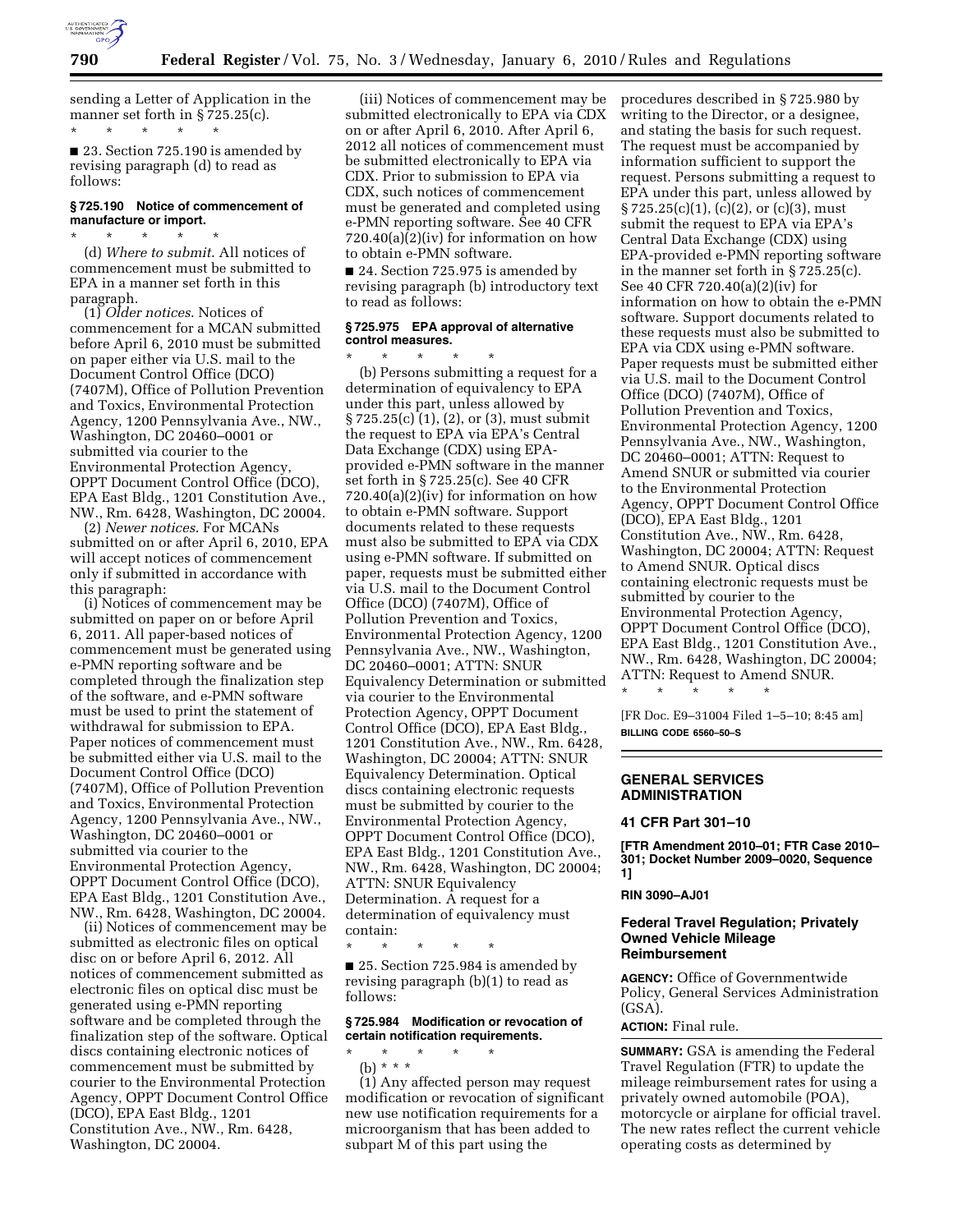

sending a Letter of Application in the manner set forth in § 725.25(c). \* \* \* \* \*

■ 23. Section 725.190 is amended by revising paragraph (d) to read as follows:

#### **§ 725.190 Notice of commencement of manufacture or import.**  \* \* \* \* \*

(d) *Where to submit*. All notices of commencement must be submitted to EPA in a manner set forth in this paragraph.

(1) *Older notices*. Notices of commencement for a MCAN submitted before April 6, 2010 must be submitted on paper either via U.S. mail to the Document Control Office (DCO) (7407M), Office of Pollution Prevention and Toxics, Environmental Protection Agency, 1200 Pennsylvania Ave., NW., Washington, DC 20460–0001 or submitted via courier to the Environmental Protection Agency, OPPT Document Control Office (DCO), EPA East Bldg., 1201 Constitution Ave., NW., Rm. 6428, Washington, DC 20004.

(2) *Newer notices*. For MCANs submitted on or after April 6, 2010, EPA will accept notices of commencement only if submitted in accordance with this paragraph:

(i) Notices of commencement may be submitted on paper on or before April 6, 2011. All paper-based notices of commencement must be generated using e-PMN reporting software and be completed through the finalization step of the software, and e-PMN software must be used to print the statement of withdrawal for submission to EPA. Paper notices of commencement must be submitted either via U.S. mail to the Document Control Office (DCO) (7407M), Office of Pollution Prevention and Toxics, Environmental Protection Agency, 1200 Pennsylvania Ave., NW., Washington, DC 20460–0001 or submitted via courier to the Environmental Protection Agency, OPPT Document Control Office (DCO), EPA East Bldg., 1201 Constitution Ave., NW., Rm. 6428, Washington, DC 20004.

(ii) Notices of commencement may be submitted as electronic files on optical disc on or before April 6, 2012. All notices of commencement submitted as electronic files on optical disc must be generated using e-PMN reporting software and be completed through the finalization step of the software. Optical discs containing electronic notices of commencement must be submitted by courier to the Environmental Protection Agency, OPPT Document Control Office (DCO), EPA East Bldg., 1201 Constitution Ave., NW., Rm. 6428, Washington, DC 20004.

(iii) Notices of commencement may be submitted electronically to EPA via CDX on or after April 6, 2010. After April 6, 2012 all notices of commencement must be submitted electronically to EPA via CDX. Prior to submission to EPA via CDX, such notices of commencement must be generated and completed using e-PMN reporting software. See 40 CFR  $720.40(a)(2)(iv)$  for information on how to obtain e-PMN software.

■ 24. Section 725.975 is amended by revising paragraph (b) introductory text to read as follows:

## **§ 725.975 EPA approval of alternative control measures.**

\* \* \* \* \* (b) Persons submitting a request for a determination of equivalency to EPA under this part, unless allowed by § 725.25(c) (1), (2), or (3), must submit the request to EPA via EPA's Central Data Exchange (CDX) using EPAprovided e-PMN software in the manner set forth in § 725.25(c). See 40 CFR  $720.40(a)(2)(iv)$  for information on how to obtain e-PMN software. Support documents related to these requests must also be submitted to EPA via CDX using e-PMN software. If submitted on paper, requests must be submitted either via U.S. mail to the Document Control Office (DCO) (7407M), Office of Pollution Prevention and Toxics, Environmental Protection Agency, 1200 Pennsylvania Ave., NW., Washington, DC 20460–0001; ATTN: SNUR Equivalency Determination or submitted via courier to the Environmental Protection Agency, OPPT Document Control Office (DCO), EPA East Bldg., 1201 Constitution Ave., NW., Rm. 6428, Washington, DC 20004; ATTN: SNUR Equivalency Determination. Optical discs containing electronic requests must be submitted by courier to the Environmental Protection Agency, OPPT Document Control Office (DCO), EPA East Bldg., 1201 Constitution Ave., NW., Rm. 6428, Washington, DC 20004; ATTN: SNUR Equivalency Determination. A request for a determination of equivalency must contain:

\* \* \* \* \*

■ 25. Section 725.984 is amended by revising paragraph (b)(1) to read as follows:

# **§ 725.984 Modification or revocation of certain notification requirements.**

\* \* \* \* \* (b) \* \* \*

(1) Any affected person may request modification or revocation of significant new use notification requirements for a microorganism that has been added to subpart M of this part using the

procedures described in § 725.980 by writing to the Director, or a designee, and stating the basis for such request. The request must be accompanied by information sufficient to support the request. Persons submitting a request to EPA under this part, unless allowed by  $\S 725.25(c)(1)$ , (c)(2), or (c)(3), must submit the request to EPA via EPA's Central Data Exchange (CDX) using EPA-provided e-PMN reporting software in the manner set forth in § 725.25(c). See 40 CFR 720.40(a)(2)(iv) for information on how to obtain the e-PMN software. Support documents related to these requests must also be submitted to EPA via CDX using e-PMN software. Paper requests must be submitted either via U.S. mail to the Document Control Office (DCO) (7407M), Office of Pollution Prevention and Toxics, Environmental Protection Agency, 1200 Pennsylvania Ave., NW., Washington, DC 20460–0001; ATTN: Request to Amend SNUR or submitted via courier to the Environmental Protection Agency, OPPT Document Control Office (DCO), EPA East Bldg., 1201 Constitution Ave., NW., Rm. 6428, Washington, DC 20004; ATTN: Request to Amend SNUR. Optical discs containing electronic requests must be submitted by courier to the Environmental Protection Agency, OPPT Document Control Office (DCO), EPA East Bldg., 1201 Constitution Ave., NW., Rm. 6428, Washington, DC 20004; ATTN: Request to Amend SNUR.

[FR Doc. E9–31004 Filed 1–5–10; 8:45 am] **BILLING CODE 6560–50–S** 

# **GENERAL SERVICES ADMINISTRATION**

\* \* \* \* \*

## **41 CFR Part 301–10**

**[FTR Amendment 2010–01; FTR Case 2010– 301; Docket Number 2009–0020, Sequence 1]** 

#### **RIN 3090–AJ01**

#### **Federal Travel Regulation; Privately Owned Vehicle Mileage Reimbursement**

**AGENCY:** Office of Governmentwide Policy, General Services Administration (GSA).

**ACTION:** Final rule.

**SUMMARY:** GSA is amending the Federal Travel Regulation (FTR) to update the mileage reimbursement rates for using a privately owned automobile (POA), motorcycle or airplane for official travel. The new rates reflect the current vehicle operating costs as determined by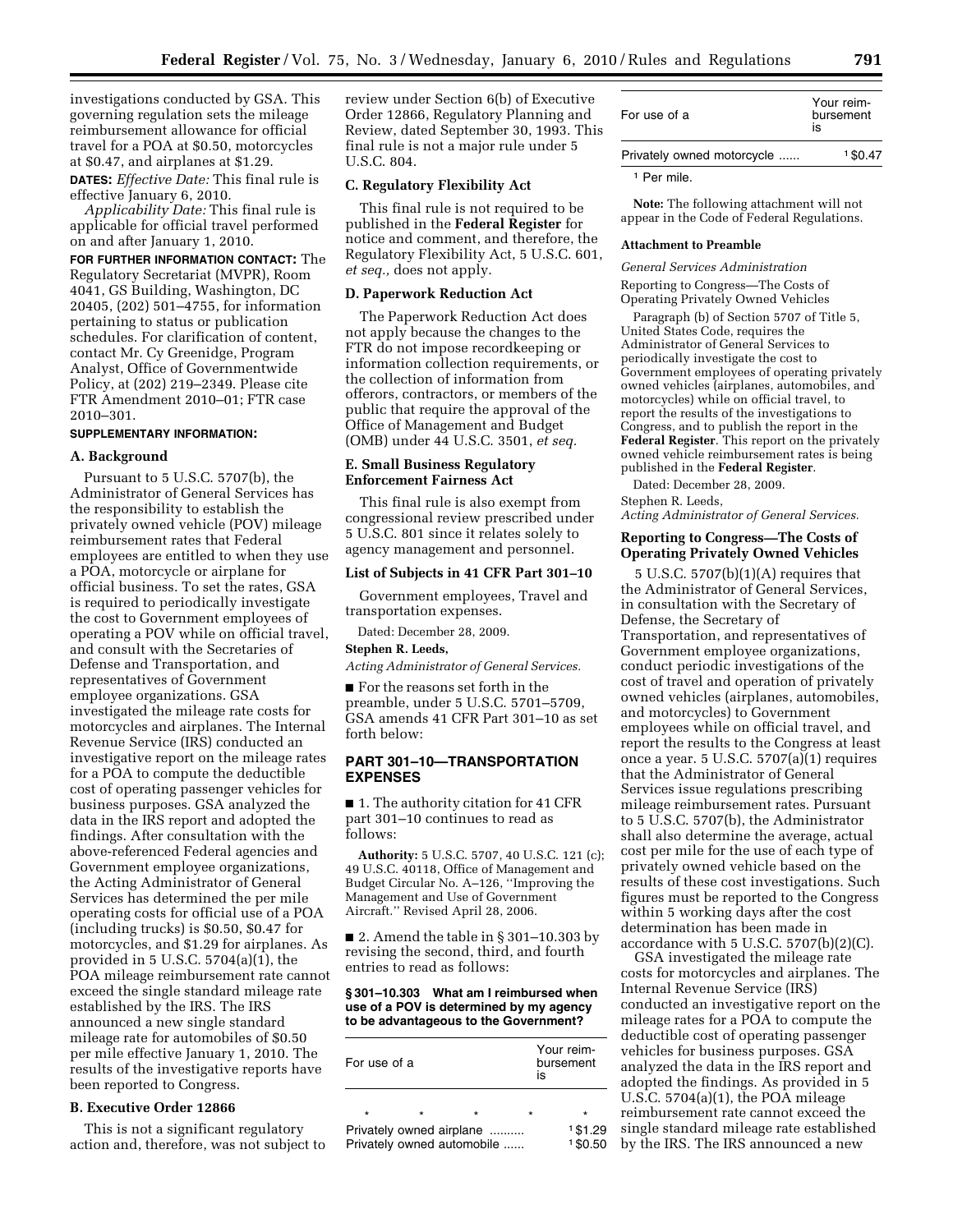investigations conducted by GSA. This governing regulation sets the mileage reimbursement allowance for official travel for a POA at \$0.50, motorcycles at \$0.47, and airplanes at \$1.29.

**DATES:** *Effective Date:* This final rule is effective January 6, 2010.

*Applicability Date:* This final rule is applicable for official travel performed on and after January 1, 2010.

**FOR FURTHER INFORMATION CONTACT:** The Regulatory Secretariat (MVPR), Room 4041, GS Building, Washington, DC 20405, (202) 501–4755, for information pertaining to status or publication schedules. For clarification of content, contact Mr. Cy Greenidge, Program Analyst, Office of Governmentwide Policy, at (202) 219–2349. Please cite FTR Amendment 2010–01; FTR case 2010–301.

# **SUPPLEMENTARY INFORMATION:**

## **A. Background**

Pursuant to 5 U.S.C. 5707(b), the Administrator of General Services has the responsibility to establish the privately owned vehicle (POV) mileage reimbursement rates that Federal employees are entitled to when they use a POA, motorcycle or airplane for official business. To set the rates, GSA is required to periodically investigate the cost to Government employees of operating a POV while on official travel, and consult with the Secretaries of Defense and Transportation, and representatives of Government employee organizations. GSA investigated the mileage rate costs for motorcycles and airplanes. The Internal Revenue Service (IRS) conducted an investigative report on the mileage rates for a POA to compute the deductible cost of operating passenger vehicles for business purposes. GSA analyzed the data in the IRS report and adopted the findings. After consultation with the above-referenced Federal agencies and Government employee organizations, the Acting Administrator of General Services has determined the per mile operating costs for official use of a POA (including trucks) is \$0.50, \$0.47 for motorcycles, and \$1.29 for airplanes. As provided in 5 U.S.C. 5704(a)(1), the POA mileage reimbursement rate cannot exceed the single standard mileage rate established by the IRS. The IRS announced a new single standard mileage rate for automobiles of \$0.50 per mile effective January 1, 2010. The results of the investigative reports have been reported to Congress.

## **B. Executive Order 12866**

This is not a significant regulatory action and, therefore, was not subject to review under Section 6(b) of Executive Order 12866, Regulatory Planning and Review, dated September 30, 1993. This final rule is not a major rule under 5 U.S.C. 804.

#### **C. Regulatory Flexibility Act**

This final rule is not required to be published in the **Federal Register** for notice and comment, and therefore, the Regulatory Flexibility Act, 5 U.S.C. 601, *et seq.,* does not apply.

#### **D. Paperwork Reduction Act**

The Paperwork Reduction Act does not apply because the changes to the FTR do not impose recordkeeping or information collection requirements, or the collection of information from offerors, contractors, or members of the public that require the approval of the Office of Management and Budget (OMB) under 44 U.S.C. 3501, *et seq.* 

## **E. Small Business Regulatory Enforcement Fairness Act**

This final rule is also exempt from congressional review prescribed under 5 U.S.C. 801 since it relates solely to agency management and personnel.

## **List of Subjects in 41 CFR Part 301–10**

Government employees, Travel and transportation expenses.

Dated: December 28, 2009.

## **Stephen R. Leeds,**

*Acting Administrator of General Services.* 

■ For the reasons set forth in the preamble, under 5 U.S.C. 5701–5709, GSA amends 41 CFR Part 301–10 as set forth below:

## **PART 301–10—TRANSPORTATION EXPENSES**

■ 1. The authority citation for 41 CFR part 301–10 continues to read as follows:

**Authority:** 5 U.S.C. 5707, 40 U.S.C. 121 (c); 49 U.S.C. 40118, Office of Management and Budget Circular No. A–126, ''Improving the Management and Use of Government Aircraft.'' Revised April 28, 2006.

■ 2. Amend the table in § 301–10.303 by revising the second, third, and fourth entries to read as follows:

#### **§ 301–10.303 What am I reimbursed when use of a POV is determined by my agency to be advantageous to the Government?**

| For use of a                                           |         | Your reim-<br>bursement<br>is |         |                    |
|--------------------------------------------------------|---------|-------------------------------|---------|--------------------|
| ÷                                                      | $\star$ | $\star$                       | $\star$ | $\star$            |
| Privately owned airplane<br>Privately owned automobile |         |                               |         | 1\$1.29<br>1\$0.50 |

| For use of a               | Your reim-<br>bursement<br>is |  |
|----------------------------|-------------------------------|--|
| Privately owned motorcycle | 1\$0.47                       |  |
|                            |                               |  |

1 Per mile.

**Note:** The following attachment will not appear in the Code of Federal Regulations.

#### **Attachment to Preamble**

*General Services Administration* 

Reporting to Congress—The Costs of Operating Privately Owned Vehicles

Paragraph (b) of Section 5707 of Title 5, United States Code, requires the Administrator of General Services to periodically investigate the cost to Government employees of operating privately owned vehicles (airplanes, automobiles, and motorcycles) while on official travel, to report the results of the investigations to Congress, and to publish the report in the **Federal Register**. This report on the privately owned vehicle reimbursement rates is being published in the **Federal Register**.

Dated: December 28, 2009.

Stephen R. Leeds, *Acting Administrator of General Services.* 

# **Reporting to Congress—The Costs of Operating Privately Owned Vehicles**

5 U.S.C. 5707(b)(1)(A) requires that the Administrator of General Services, in consultation with the Secretary of Defense, the Secretary of Transportation, and representatives of Government employee organizations, conduct periodic investigations of the cost of travel and operation of privately owned vehicles (airplanes, automobiles, and motorcycles) to Government employees while on official travel, and report the results to the Congress at least once a year. 5 U.S.C. 5707(a)(1) requires that the Administrator of General Services issue regulations prescribing mileage reimbursement rates. Pursuant to 5 U.S.C. 5707(b), the Administrator shall also determine the average, actual cost per mile for the use of each type of privately owned vehicle based on the results of these cost investigations. Such figures must be reported to the Congress within 5 working days after the cost determination has been made in accordance with  $5 \text{ U.S.C. } 5707(b)(2)(C)$ .

GSA investigated the mileage rate costs for motorcycles and airplanes. The Internal Revenue Service (IRS) conducted an investigative report on the mileage rates for a POA to compute the deductible cost of operating passenger vehicles for business purposes. GSA analyzed the data in the IRS report and adopted the findings. As provided in 5 U.S.C. 5704(a)(1), the POA mileage reimbursement rate cannot exceed the single standard mileage rate established by the IRS. The IRS announced a new